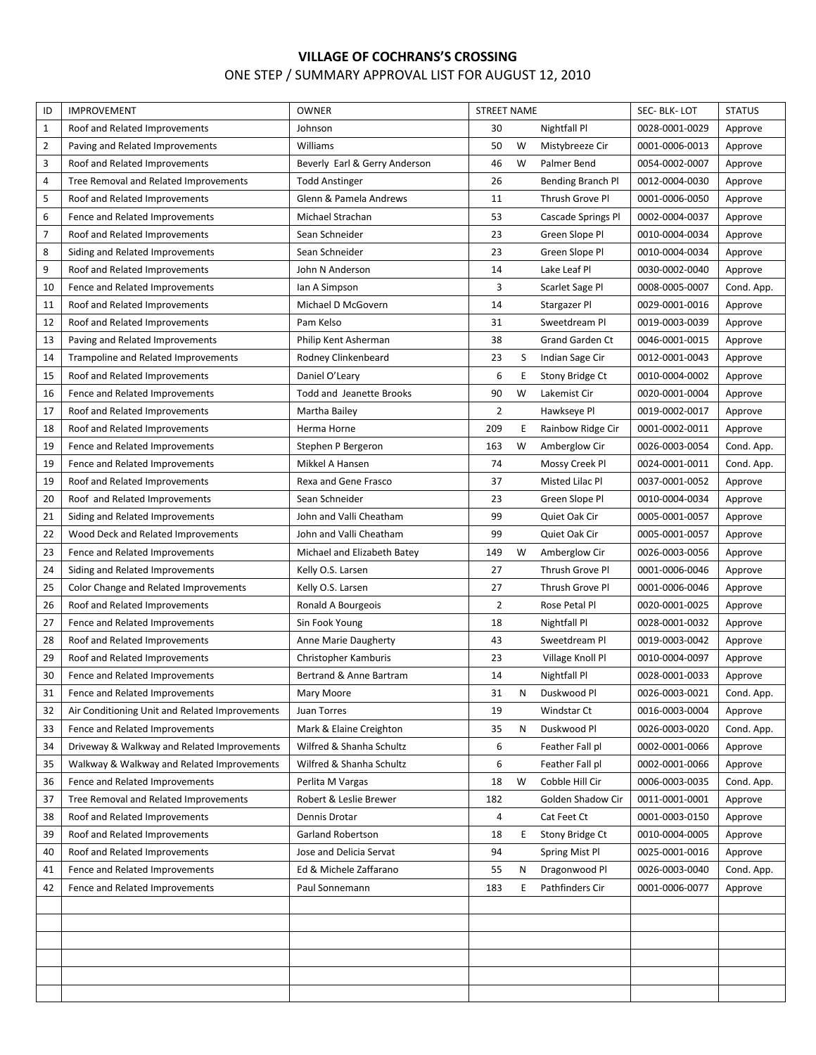## **VILLAGE OF COCHRANS'S CROSSING** ONE STEP / SUMMARY APPROVAL LIST FOR AUGUST 12, 2010

| ID           | <b>IMPROVEMENT</b>                             | <b>OWNER</b>                  | <b>STREET NAME</b> |   |                        | SEC-BLK-LOT    | <b>STATUS</b> |
|--------------|------------------------------------------------|-------------------------------|--------------------|---|------------------------|----------------|---------------|
| $\mathbf{1}$ | Roof and Related Improvements                  | Johnson                       | 30                 |   | Nightfall Pl           | 0028-0001-0029 | Approve       |
| 2            | Paving and Related Improvements                | Williams                      | 50                 | W | Mistybreeze Cir        | 0001-0006-0013 | Approve       |
| 3            | Roof and Related Improvements                  | Beverly Earl & Gerry Anderson | 46                 | W | Palmer Bend            | 0054-0002-0007 | Approve       |
| 4            | Tree Removal and Related Improvements          | <b>Todd Anstinger</b>         | 26                 |   | Bending Branch Pl      | 0012-0004-0030 | Approve       |
| 5            | Roof and Related Improvements                  | Glenn & Pamela Andrews        | 11                 |   | Thrush Grove Pl        | 0001-0006-0050 | Approve       |
| 6            | Fence and Related Improvements                 | Michael Strachan              | 53                 |   | Cascade Springs Pl     | 0002-0004-0037 | Approve       |
| 7            | Roof and Related Improvements                  | Sean Schneider                | 23                 |   | Green Slope Pl         | 0010-0004-0034 | Approve       |
| 8            | Siding and Related Improvements                | Sean Schneider                | 23                 |   | Green Slope Pl         | 0010-0004-0034 | Approve       |
| 9            | Roof and Related Improvements                  | John N Anderson               | 14                 |   | Lake Leaf Pl           | 0030-0002-0040 | Approve       |
| 10           | Fence and Related Improvements                 | lan A Simpson                 | 3                  |   | Scarlet Sage Pl        | 0008-0005-0007 | Cond. App.    |
| 11           | Roof and Related Improvements                  | Michael D McGovern            | 14                 |   | Stargazer Pl           | 0029-0001-0016 | Approve       |
| 12           | Roof and Related Improvements                  | Pam Kelso                     | 31                 |   | Sweetdream Pl          | 0019-0003-0039 | Approve       |
| 13           | Paving and Related Improvements                | Philip Kent Asherman          | 38                 |   | <b>Grand Garden Ct</b> | 0046-0001-0015 | Approve       |
| 14           | Trampoline and Related Improvements            | Rodney Clinkenbeard           | 23                 | S | Indian Sage Cir        | 0012-0001-0043 | Approve       |
| 15           | Roof and Related Improvements                  | Daniel O'Leary                | 6                  | Ε | Stony Bridge Ct        | 0010-0004-0002 | Approve       |
| 16           | Fence and Related Improvements                 | Todd and Jeanette Brooks      | 90                 | W | Lakemist Cir           | 0020-0001-0004 | Approve       |
| 17           | Roof and Related Improvements                  | Martha Bailey                 | $\overline{2}$     |   | Hawkseye Pl            | 0019-0002-0017 | Approve       |
| 18           | Roof and Related Improvements                  | Herma Horne                   | 209                | Ε | Rainbow Ridge Cir      | 0001-0002-0011 | Approve       |
| 19           | Fence and Related Improvements                 | Stephen P Bergeron            | 163                | W | Amberglow Cir          | 0026-0003-0054 | Cond. App.    |
| 19           | Fence and Related Improvements                 | Mikkel A Hansen               | 74                 |   | Mossy Creek Pl         | 0024-0001-0011 | Cond. App.    |
| 19           | Roof and Related Improvements                  | Rexa and Gene Frasco          | 37                 |   | Misted Lilac Pl        | 0037-0001-0052 | Approve       |
| 20           | Roof and Related Improvements                  | Sean Schneider                | 23                 |   | Green Slope Pl         | 0010-0004-0034 | Approve       |
| 21           | Siding and Related Improvements                | John and Valli Cheatham       | 99                 |   | Quiet Oak Cir          | 0005-0001-0057 | Approve       |
| 22           | Wood Deck and Related Improvements             | John and Valli Cheatham       | 99                 |   | Quiet Oak Cir          | 0005-0001-0057 | Approve       |
| 23           | Fence and Related Improvements                 | Michael and Elizabeth Batey   | 149                | W | Amberglow Cir          | 0026-0003-0056 | Approve       |
| 24           | Siding and Related Improvements                | Kelly O.S. Larsen             | 27                 |   | Thrush Grove Pl        | 0001-0006-0046 | Approve       |
| 25           | Color Change and Related Improvements          | Kelly O.S. Larsen             | 27                 |   | Thrush Grove Pl        | 0001-0006-0046 | Approve       |
| 26           | Roof and Related Improvements                  | Ronald A Bourgeois            | $\overline{2}$     |   | Rose Petal Pl          | 0020-0001-0025 | Approve       |
| 27           | Fence and Related Improvements                 | Sin Fook Young                | 18                 |   | Nightfall Pl           | 0028-0001-0032 | Approve       |
| 28           | Roof and Related Improvements                  | Anne Marie Daugherty          | 43                 |   | Sweetdream Pl          | 0019-0003-0042 | Approve       |
| 29           | Roof and Related Improvements                  | Christopher Kamburis          | 23                 |   | Village Knoll Pl       | 0010-0004-0097 | Approve       |
| 30           | Fence and Related Improvements                 | Bertrand & Anne Bartram       | 14                 |   | Nightfall Pl           | 0028-0001-0033 | Approve       |
| 31           | Fence and Related Improvements                 | Mary Moore                    | 31                 | N | Duskwood Pl            | 0026-0003-0021 | Cond. App.    |
| 32           | Air Conditioning Unit and Related Improvements | Juan Torres                   | 19                 |   | Windstar Ct            | 0016-0003-0004 | Approve       |
| 33           | Fence and Related Improvements                 | Mark & Elaine Creighton       | 35                 | N | Duskwood Pl            | 0026-0003-0020 | Cond. App.    |
| 34           | Driveway & Walkway and Related Improvements    | Wilfred & Shanha Schultz      | 6                  |   | Feather Fall pl        | 0002-0001-0066 | Approve       |
| 35           | Walkway & Walkway and Related Improvements     | Wilfred & Shanha Schultz      | 6                  |   | Feather Fall pl        | 0002-0001-0066 | Approve       |
| 36           | Fence and Related Improvements                 | Perlita M Vargas              | 18                 | W | Cobble Hill Cir        | 0006-0003-0035 | Cond. App.    |
| 37           | Tree Removal and Related Improvements          | Robert & Leslie Brewer        | 182                |   | Golden Shadow Cir      | 0011-0001-0001 | Approve       |
| 38           | Roof and Related Improvements                  | Dennis Drotar                 | 4                  |   | Cat Feet Ct            | 0001-0003-0150 | Approve       |
| 39           | Roof and Related Improvements                  | Garland Robertson             | 18                 | Ε | Stony Bridge Ct        | 0010-0004-0005 | Approve       |
| 40           | Roof and Related Improvements                  | Jose and Delicia Servat       | 94                 |   | <b>Spring Mist Pl</b>  | 0025-0001-0016 | Approve       |
| 41           | Fence and Related Improvements                 | Ed & Michele Zaffarano        | 55                 | N | Dragonwood Pl          | 0026-0003-0040 | Cond. App.    |
| 42           | Fence and Related Improvements                 | Paul Sonnemann                | 183                | Ε | Pathfinders Cir        | 0001-0006-0077 | Approve       |
|              |                                                |                               |                    |   |                        |                |               |
|              |                                                |                               |                    |   |                        |                |               |
|              |                                                |                               |                    |   |                        |                |               |
|              |                                                |                               |                    |   |                        |                |               |
|              |                                                |                               |                    |   |                        |                |               |
|              |                                                |                               |                    |   |                        |                |               |